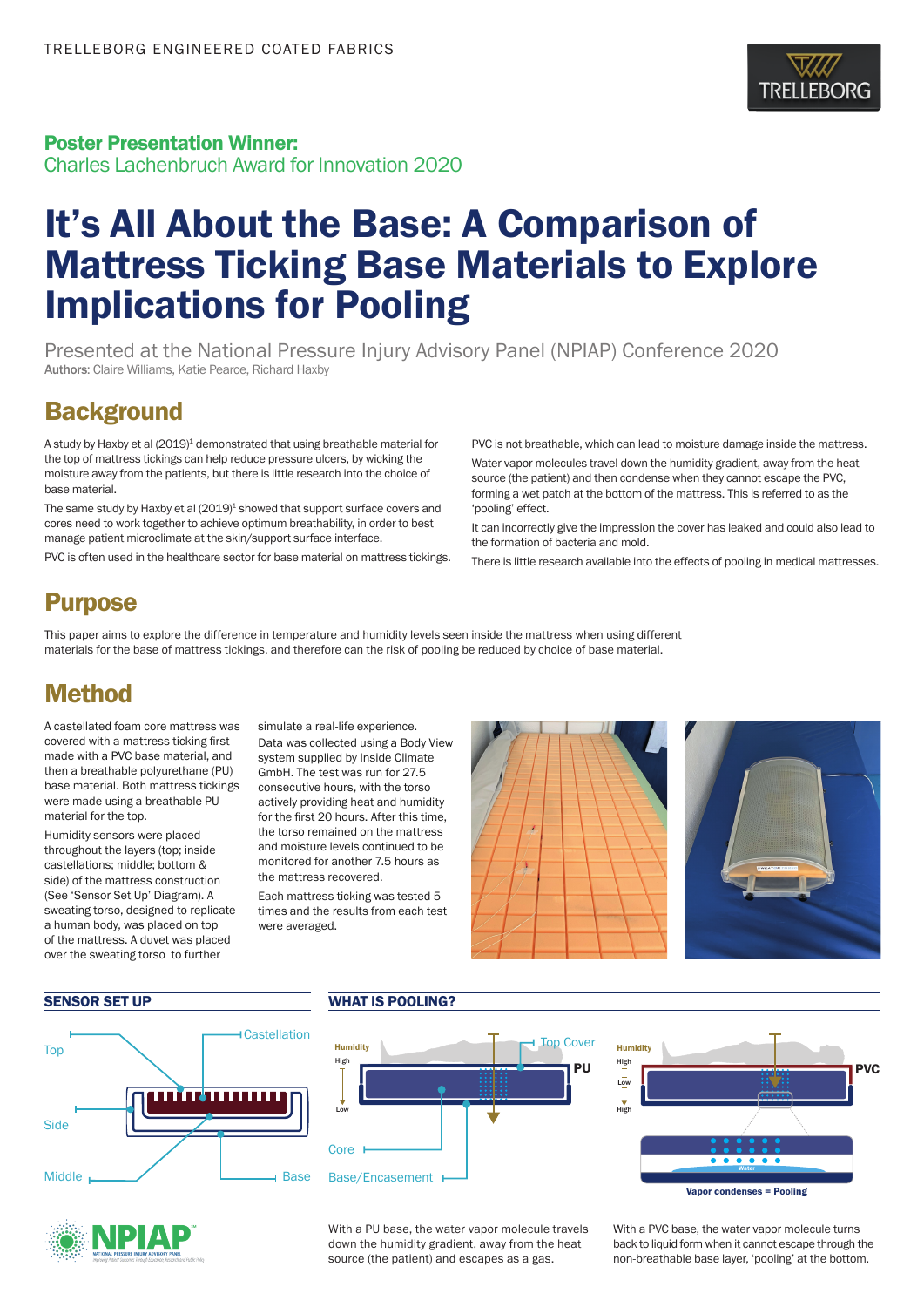

### Poster Presentation Winner:

Charles Lachenbruch Award for Innovation 2020

# It's All About the Base: A Comparison of Mattress Ticking Base Materials to Explore Implications for Pooling

Presented at the National Pressure Injury Advisory Panel (NPIAP) Conference 2020 Authors: Claire Williams, Katie Pearce, Richard Haxby

### **Background**

A study by Haxby et al (2019)<sup>1</sup> demonstrated that using breathable material for the top of mattress tickings can help reduce pressure ulcers, by wicking the moisture away from the patients, but there is little research into the choice of base material.

The same study by Haxby et al (2019)<sup>1</sup> showed that support surface covers and cores need to work together to achieve optimum breathability, in order to best manage patient microclimate at the skin/support surface interface.

PVC is often used in the healthcare sector for base material on mattress tickings.

PVC is not breathable, which can lead to moisture damage inside the mattress.

Water vapor molecules travel down the humidity gradient, away from the heat source (the patient) and then condense when they cannot escape the PVC, forming a wet patch at the bottom of the mattress. This is referred to as the 'pooling' effect.

It can incorrectly give the impression the cover has leaked and could also lead to the formation of bacteria and mold.

There is little research available into the effects of pooling in medical mattresses.

## Purpose

This paper aims to explore the difference in temperature and humidity levels seen inside the mattress when using different materials for the base of mattress tickings, and therefore can the risk of pooling be reduced by choice of base material.

### Method

A castellated foam core mattress was covered with a mattress ticking first made with a PVC base material, and then a breathable polyurethane (PU) base material. Both mattress tickings were made using a breathable PU material for the top.

Humidity sensors were placed throughout the layers (top; inside castellations; middle; bottom & side) of the mattress construction (See 'Sensor Set Up' Diagram). A sweating torso, designed to replicate a human body, was placed on top of the mattress. A duvet was placed over the sweating torso to further

simulate a real-life experience. Data was collected using a Body View system supplied by Inside Climate GmbH. The test was run for 27.5 consecutive hours, with the torso actively providing heat and humidity for the first 20 hours. After this time, the torso remained on the mattress and moisture levels continued to be monitored for another 7.5 hours as the mattress recovered.

Each mattress ticking was tested 5 times and the results from each test were averaged.



Low



#### SENSOR SET UP WHAT IS POOLING?









With a PU base, the water vapor molecule travels down the humidity gradient, away from the heat source (the patient) and escapes as a gas.

With a PVC base, the water vapor molecule turns back to liquid form when it cannot escape through the non-breathable base layer, 'pooling' at the bottom.